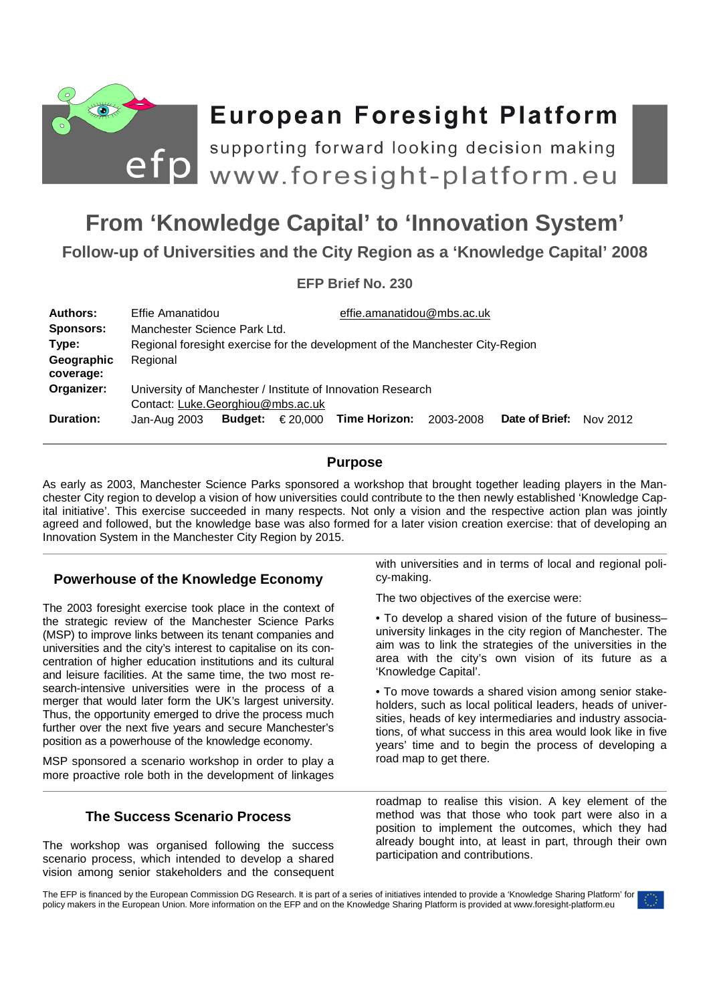

# **European Foresight Platform**

**From 'Knowledge Capital' to 'Innovation System'**<br>From 'Knowledge Capital' to 'Innovation System' supporting forward looking decision making

**Follow-up of Universities and the City Region as a 'Knowledge Capital' 2008** 

# **EFP Brief No. 230**

| Authors:                | Effie Amanatidou                                                                                                                   |  |                                 |           |                |          |
|-------------------------|------------------------------------------------------------------------------------------------------------------------------------|--|---------------------------------|-----------|----------------|----------|
| <b>Sponsors:</b>        | effie.amanatidou@mbs.ac.uk                                                                                                         |  |                                 |           |                |          |
| Type:                   | Manchester Science Park Ltd.                                                                                                       |  |                                 |           |                |          |
| Geographic              | Regional foresight exercise for the development of the Manchester City-Region                                                      |  |                                 |           |                |          |
| coverage:               | Regional                                                                                                                           |  |                                 |           |                |          |
| Organizer:<br>Duration: | University of Manchester / Institute of Innovation Research<br>Contact: Luke.Georghiou@mbs.ac.uk<br><b>Budget:</b><br>Jan-Aug 2003 |  | $\epsilon$ 20,000 Time Horizon: | 2003-2008 | Date of Brief: | Nov 2012 |

# **Purpose**

As early as 2003, Manchester Science Parks sponsored a workshop that brought together leading players in the Manchester City region to develop a vision of how universities could contribute to the then newly established 'Knowledge Capital initiative'. This exercise succeeded in many respects. Not only a vision and the respective action plan was jointly agreed and followed, but the knowledge base was also formed for a later vision creation exercise: that of developing an Innovation System in the Manchester City Region by 2015.

# **Powerhouse of the Knowledge Economy**

The 2003 foresight exercise took place in the context of the strategic review of the Manchester Science Parks (MSP) to improve links between its tenant companies and universities and the city's interest to capitalise on its concentration of higher education institutions and its cultural and leisure facilities. At the same time, the two most research-intensive universities were in the process of a merger that would later form the UK's largest university. Thus, the opportunity emerged to drive the process much further over the next five years and secure Manchester's position as a powerhouse of the knowledge economy.

MSP sponsored a scenario workshop in order to play a more proactive role both in the development of linkages

# **The Success Scenario Process**

The workshop was organised following the success scenario process, which intended to develop a shared vision among senior stakeholders and the consequent with universities and in terms of local and regional policy-making.

The two objectives of the exercise were:

• To develop a shared vision of the future of business– university linkages in the city region of Manchester. The aim was to link the strategies of the universities in the area with the city's own vision of its future as a 'Knowledge Capital'.

• To move towards a shared vision among senior stakeholders, such as local political leaders, heads of universities, heads of key intermediaries and industry associations, of what success in this area would look like in five years' time and to begin the process of developing a road map to get there.

roadmap to realise this vision. A key element of the method was that those who took part were also in a position to implement the outcomes, which they had already bought into, at least in part, through their own participation and contributions.

The EFP is financed by the European Commission DG Research. It is part of a series of initiatives intended to provide a 'Knowledge Sharing Platform' for policy makers in the European Union. More information on the EFP and on the Knowledge Sharing Platform is provided at www.foresight-platform.eu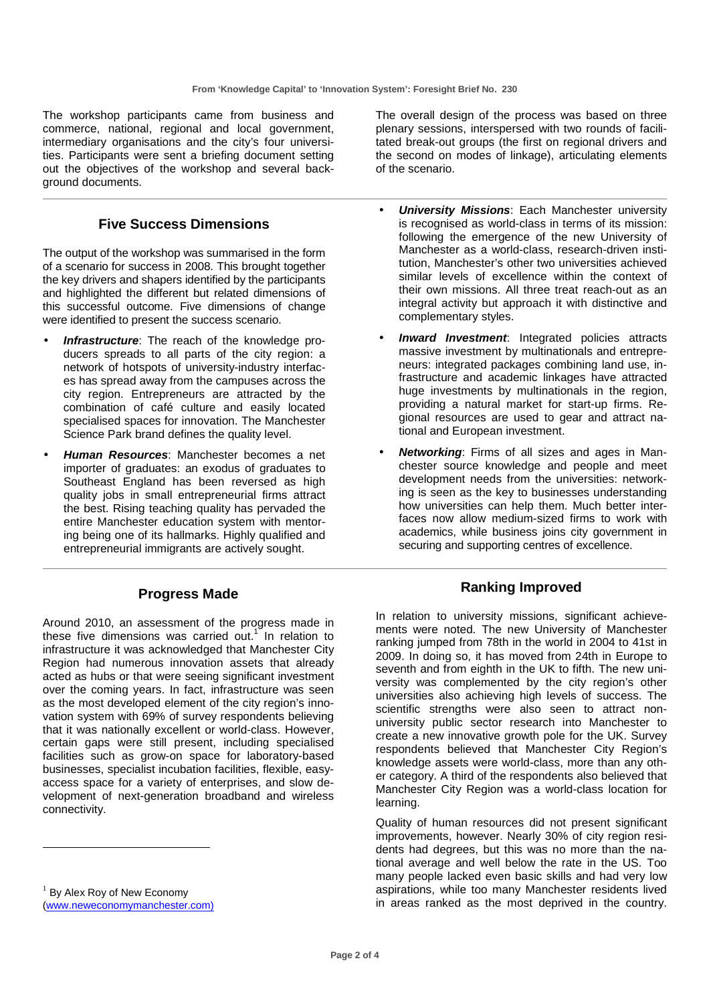The workshop participants came from business and commerce, national, regional and local government, intermediary organisations and the city's four universities. Participants were sent a briefing document setting out the objectives of the workshop and several background documents.

# **Five Success Dimensions**

The output of the workshop was summarised in the form of a scenario for success in 2008. This brought together the key drivers and shapers identified by the participants and highlighted the different but related dimensions of this successful outcome. Five dimensions of change were identified to present the success scenario.

- **Infrastructure**: The reach of the knowledge producers spreads to all parts of the city region: a network of hotspots of university-industry interfaces has spread away from the campuses across the city region. Entrepreneurs are attracted by the combination of café culture and easily located specialised spaces for innovation. The Manchester Science Park brand defines the quality level.
- **Human Resources**: Manchester becomes a net importer of graduates: an exodus of graduates to Southeast England has been reversed as high quality jobs in small entrepreneurial firms attract the best. Rising teaching quality has pervaded the entire Manchester education system with mentoring being one of its hallmarks. Highly qualified and entrepreneurial immigrants are actively sought.

### **Progress Made**

Around 2010, an assessment of the progress made in these five dimensions was carried out.<sup>1</sup> In relation to infrastructure it was acknowledged that Manchester City Region had numerous innovation assets that already acted as hubs or that were seeing significant investment over the coming years. In fact, infrastructure was seen as the most developed element of the city region's innovation system with 69% of survey respondents believing that it was nationally excellent or world-class. However, certain gaps were still present, including specialised facilities such as grow-on space for laboratory-based businesses, specialist incubation facilities, flexible, easyaccess space for a variety of enterprises, and slow development of next-generation broadband and wireless connectivity.

<sup>1</sup> By Alex Roy of New Economy (www.neweconomymanchester.com)

-

The overall design of the process was based on three plenary sessions, interspersed with two rounds of facilitated break-out groups (the first on regional drivers and the second on modes of linkage), articulating elements of the scenario.

- **University Missions: Each Manchester university** is recognised as world-class in terms of its mission: following the emergence of the new University of Manchester as a world-class, research-driven institution, Manchester's other two universities achieved similar levels of excellence within the context of their own missions. All three treat reach-out as an integral activity but approach it with distinctive and complementary styles.
- **Inward Investment**: Integrated policies attracts massive investment by multinationals and entrepreneurs: integrated packages combining land use, infrastructure and academic linkages have attracted huge investments by multinationals in the region, providing a natural market for start-up firms. Regional resources are used to gear and attract national and European investment.
- **Networking**: Firms of all sizes and ages in Manchester source knowledge and people and meet development needs from the universities: networking is seen as the key to businesses understanding how universities can help them. Much better interfaces now allow medium-sized firms to work with academics, while business joins city government in securing and supporting centres of excellence.

### **Ranking Improved**

In relation to university missions, significant achievements were noted. The new University of Manchester ranking jumped from 78th in the world in 2004 to 41st in 2009. In doing so, it has moved from 24th in Europe to seventh and from eighth in the UK to fifth. The new university was complemented by the city region's other universities also achieving high levels of success. The scientific strengths were also seen to attract nonuniversity public sector research into Manchester to create a new innovative growth pole for the UK. Survey respondents believed that Manchester City Region's knowledge assets were world-class, more than any other category. A third of the respondents also believed that Manchester City Region was a world-class location for learning.

Quality of human resources did not present significant improvements, however. Nearly 30% of city region residents had degrees, but this was no more than the national average and well below the rate in the US. Too many people lacked even basic skills and had very low aspirations, while too many Manchester residents lived in areas ranked as the most deprived in the country.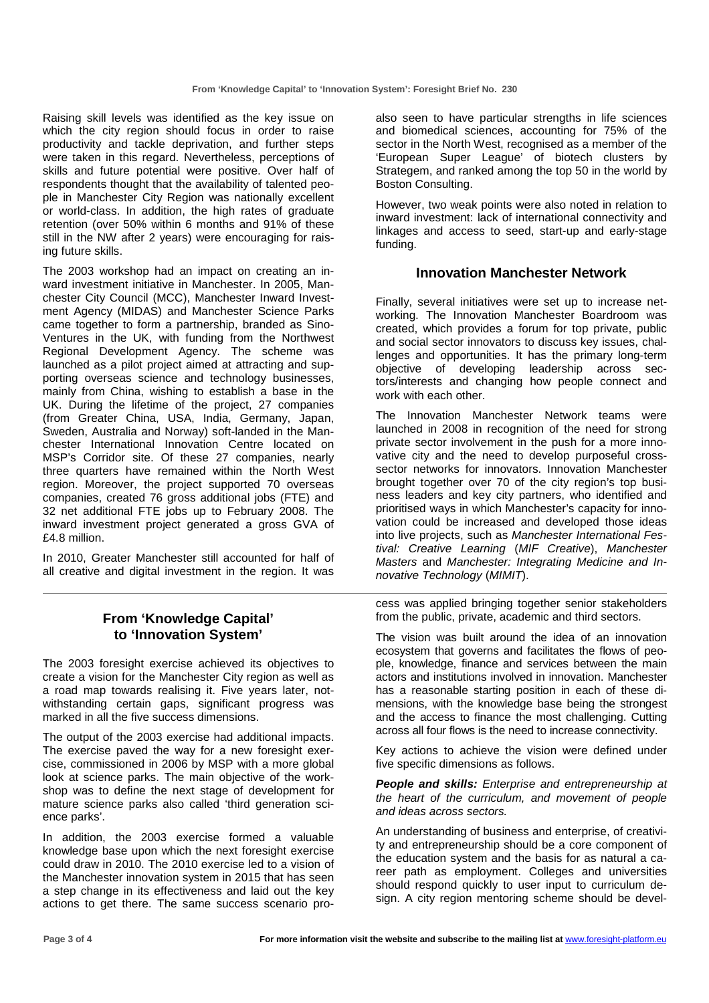Raising skill levels was identified as the key issue on which the city region should focus in order to raise productivity and tackle deprivation, and further steps were taken in this regard. Nevertheless, perceptions of skills and future potential were positive. Over half of respondents thought that the availability of talented people in Manchester City Region was nationally excellent or world-class. In addition, the high rates of graduate retention (over 50% within 6 months and 91% of these still in the NW after 2 years) were encouraging for raising future skills.

The 2003 workshop had an impact on creating an inward investment initiative in Manchester. In 2005, Manchester City Council (MCC), Manchester Inward Investment Agency (MIDAS) and Manchester Science Parks came together to form a partnership, branded as Sino-Ventures in the UK, with funding from the Northwest Regional Development Agency. The scheme was launched as a pilot project aimed at attracting and supporting overseas science and technology businesses, mainly from China, wishing to establish a base in the UK. During the lifetime of the project, 27 companies (from Greater China, USA, India, Germany, Japan, Sweden, Australia and Norway) soft-landed in the Manchester International Innovation Centre located on MSP's Corridor site. Of these 27 companies, nearly three quarters have remained within the North West region. Moreover, the project supported 70 overseas companies, created 76 gross additional jobs (FTE) and 32 net additional FTE jobs up to February 2008. The inward investment project generated a gross GVA of £4.8 million.

In 2010, Greater Manchester still accounted for half of all creative and digital investment in the region. It was

# **From 'Knowledge Capital' to 'Innovation System'**

The 2003 foresight exercise achieved its objectives to create a vision for the Manchester City region as well as a road map towards realising it. Five years later, notwithstanding certain gaps, significant progress was marked in all the five success dimensions.

The output of the 2003 exercise had additional impacts. The exercise paved the way for a new foresight exercise, commissioned in 2006 by MSP with a more global look at science parks. The main objective of the workshop was to define the next stage of development for mature science parks also called 'third generation science parks'.

In addition, the 2003 exercise formed a valuable knowledge base upon which the next foresight exercise could draw in 2010. The 2010 exercise led to a vision of the Manchester innovation system in 2015 that has seen a step change in its effectiveness and laid out the key actions to get there. The same success scenario proalso seen to have particular strengths in life sciences and biomedical sciences, accounting for 75% of the sector in the North West, recognised as a member of the 'European Super League' of biotech clusters by Strategem, and ranked among the top 50 in the world by Boston Consulting.

However, two weak points were also noted in relation to inward investment: lack of international connectivity and linkages and access to seed, start-up and early-stage funding.

### **Innovation Manchester Network**

Finally, several initiatives were set up to increase networking. The Innovation Manchester Boardroom was created, which provides a forum for top private, public and social sector innovators to discuss key issues, challenges and opportunities. It has the primary long-term objective of developing leadership across sectors/interests and changing how people connect and work with each other.

The Innovation Manchester Network teams were launched in 2008 in recognition of the need for strong private sector involvement in the push for a more innovative city and the need to develop purposeful crosssector networks for innovators. Innovation Manchester brought together over 70 of the city region's top business leaders and key city partners, who identified and prioritised ways in which Manchester's capacity for innovation could be increased and developed those ideas into live projects, such as Manchester International Festival: Creative Learning (MIF Creative), Manchester Masters and Manchester: Integrating Medicine and Innovative Technology (MIMIT).

cess was applied bringing together senior stakeholders from the public, private, academic and third sectors.

The vision was built around the idea of an innovation ecosystem that governs and facilitates the flows of people, knowledge, finance and services between the main actors and institutions involved in innovation. Manchester has a reasonable starting position in each of these dimensions, with the knowledge base being the strongest and the access to finance the most challenging. Cutting across all four flows is the need to increase connectivity.

Key actions to achieve the vision were defined under five specific dimensions as follows.

#### **People and skills:** Enterprise and entrepreneurship at the heart of the curriculum, and movement of people and ideas across sectors.

An understanding of business and enterprise, of creativity and entrepreneurship should be a core component of the education system and the basis for as natural a career path as employment. Colleges and universities should respond quickly to user input to curriculum design. A city region mentoring scheme should be devel